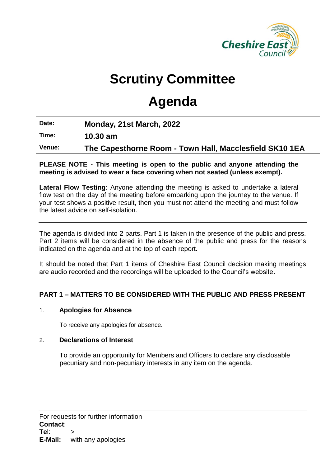

# **Scrutiny Committee**

# **Agenda**

**Date: Monday, 21st March, 2022**

**Time: 10.30 am**

**Venue: The Capesthorne Room - Town Hall, Macclesfield SK10 1EA**

## **PLEASE NOTE - This meeting is open to the public and anyone attending the meeting is advised to wear a face covering when not seated (unless exempt).**

**Lateral Flow Testing**: Anyone attending the meeting is asked to undertake a lateral flow test on the day of the meeting before embarking upon the journey to the venue. If your test shows a positive result, then you must not attend the meeting and must follow the latest advice on self-isolation.

The agenda is divided into 2 parts. Part 1 is taken in the presence of the public and press. Part 2 items will be considered in the absence of the public and press for the reasons indicated on the agenda and at the top of each report.

It should be noted that Part 1 items of Cheshire East Council decision making meetings are audio recorded and the recordings will be uploaded to the Council's website.

# **PART 1 – MATTERS TO BE CONSIDERED WITH THE PUBLIC AND PRESS PRESENT**

# 1. **Apologies for Absence**

To receive any apologies for absence.

# 2. **Declarations of Interest**

To provide an opportunity for Members and Officers to declare any disclosable pecuniary and non-pecuniary interests in any item on the agenda.